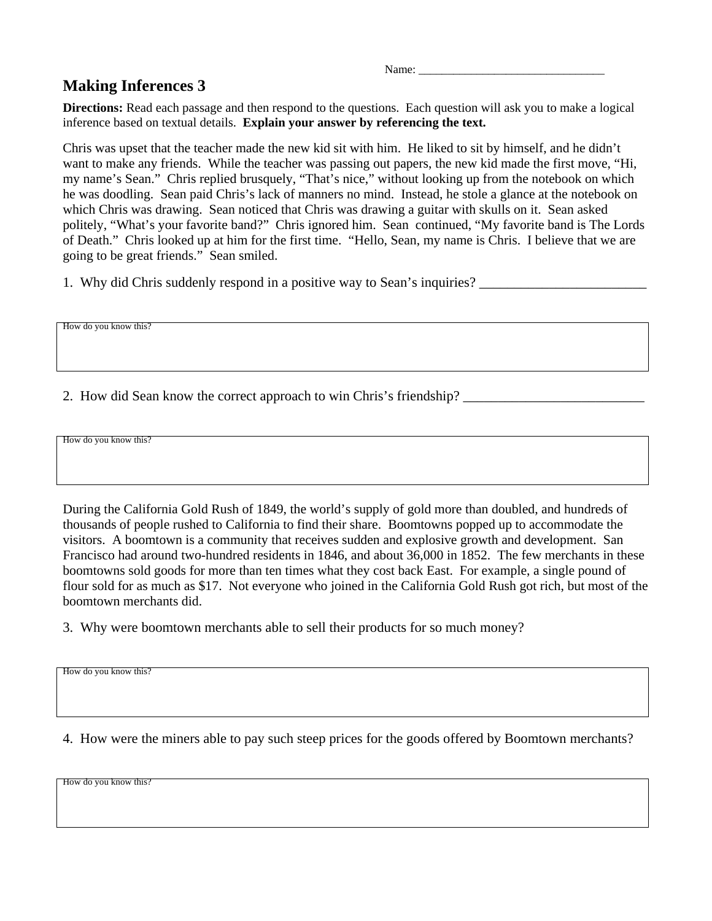Name: \_\_\_\_\_\_\_\_\_\_\_\_\_\_\_\_\_\_\_\_\_\_\_\_\_\_\_\_\_\_\_\_

## **Making Inferences 3**

**Directions:** Read each passage and then respond to the questions. Each question will ask you to make a logical inference based on textual details. **Explain your answer by referencing the text.**

Chris was upset that the teacher made the new kid sit with him. He liked to sit by himself, and he didn't want to make any friends. While the teacher was passing out papers, the new kid made the first move, "Hi, my name's Sean." Chris replied brusquely, "That's nice," without looking up from the notebook on which he was doodling. Sean paid Chris's lack of manners no mind. Instead, he stole a glance at the notebook on which Chris was drawing. Sean noticed that Chris was drawing a guitar with skulls on it. Sean asked politely, "What's your favorite band?" Chris ignored him. Sean continued, "My favorite band is The Lords of Death." Chris looked up at him for the first time. "Hello, Sean, my name is Chris. I believe that we are going to be great friends." Sean smiled.

1. Why did Chris suddenly respond in a positive way to Sean's inquiries?

How do you know this?

2. How did Sean know the correct approach to win Chris's friendship? \_\_\_\_\_\_\_\_\_\_\_\_

How do you know this?

During the California Gold Rush of 1849, the world's supply of gold more than doubled, and hundreds of thousands of people rushed to California to find their share. Boomtowns popped up to accommodate the visitors. A boomtown is a community that receives sudden and explosive growth and development. San Francisco had around two-hundred residents in 1846, and about 36,000 in 1852. The few merchants in these boomtowns sold goods for more than ten times what they cost back East. For example, a single pound of flour sold for as much as \$17. Not everyone who joined in the California Gold Rush got rich, but most of the boomtown merchants did.

3. Why were boomtown merchants able to sell their products for so much money?

How do you know this?

4. How were the miners able to pay such steep prices for the goods offered by Boomtown merchants?

How do you know this?